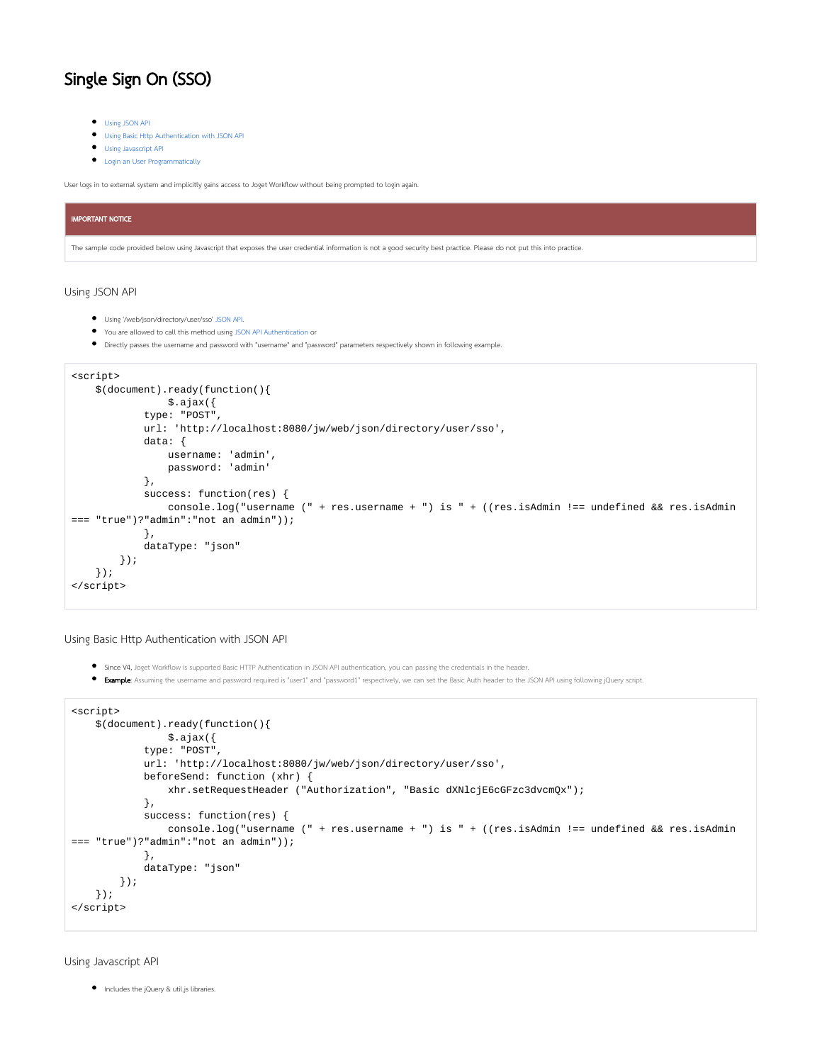## Single Sign On (SSO)

- [Using JSON API](#page-0-0)
- [Using Basic Http Authentication with JSON API](#page-0-1)
- [Using Javascript API](#page-0-2)
- [Login an User Programmatically](#page-1-0)

User logs in to external system and implicitly gains access to Joget Workflow without being prompted to login again.

## IMPORTANT NOTICE

The sample code provided below using Javascript that exposes the user credential information is not a good security best practice. Please do not put this into practice.

## <span id="page-0-0"></span>Using JSON API

- Using '/web/json/directory/user/sso' [JSON API.](https://dev.joget.org/community/display/KBv5/JSON+API)
- You are allowed to call this method using [JSON API Authentication](https://dev.joget.org/community/display/KBv5/JSON+API+Authentication) or
- Directly passes the username and password with "username" and "password" parameters respectively shown in following example.

```
<script>
     $(document).ready(function(){
                 $.ajax({
             type: "POST",
             url: 'http://localhost:8080/jw/web/json/directory/user/sso',
             data: {
                username: 'admin',
                 password: 'admin'
             },
             success: function(res) {
                console.log("username (" + res.username + ") is " + ((res.isAdmin !== undefined && res.isAdmin 
=== "true")?"admin":"not an admin"));
             },
             dataType: "json"
         });
     });
</script>
```
<span id="page-0-1"></span>Using Basic Http Authentication with JSON API

- Since V4, Joget Workflow is supported Basic HTTP Authentication in JSON API authentication, you can passing the credentials in the header.
- **Example:** Assuming the username and password required is "user1" and "password1" respectively, we can set the Basic Auth header to the JSON API using following jQuery script.

```
<script>
    $(document).ready(function(){
                $.ajax({
             type: "POST",
             url: 'http://localhost:8080/jw/web/json/directory/user/sso',
             beforeSend: function (xhr) {
                 xhr.setRequestHeader ("Authorization", "Basic dXNlcjE6cGFzc3dvcmQx");
             },
             success: function(res) {
                 console.log("username (" + res.username + ") is " + ((res.isAdmin !== undefined && res.isAdmin 
=== "true")?"admin":"not an admin"));
             },
             dataType: "json"
         });
    });
</script>
```
<span id="page-0-2"></span>Using Javascript API

Includes the jQuery & util.js libraries.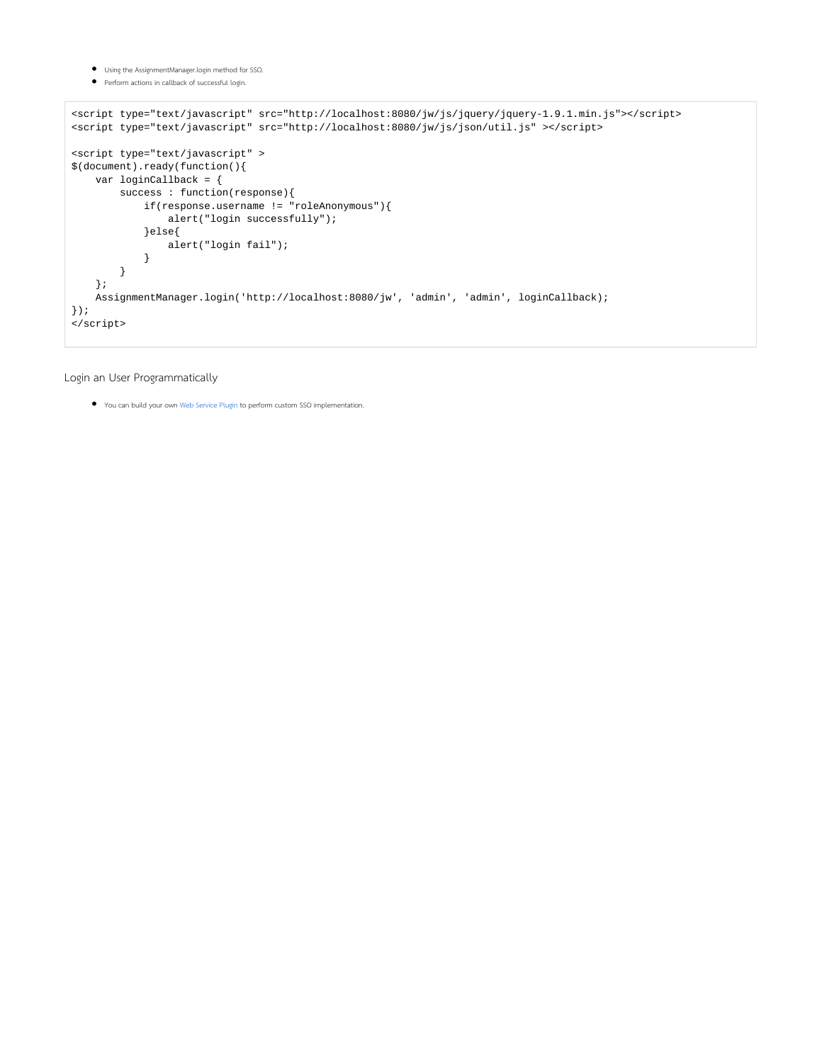- Using the AssignmentManager.login method for SSO.
- Perform actions in callback of successful login.

```
<script type="text/javascript" src="http://localhost:8080/jw/js/jquery/jquery-1.9.1.min.js"></script>
<script type="text/javascript" src="http://localhost:8080/jw/js/json/util.js" ></script>
<script type="text/javascript" >
$(document).ready(function(){
     var loginCallback = {
         success : function(response){
             if(response.username != "roleAnonymous"){
                  alert("login successfully");
              }else{
                  alert("login fail");
              }
         }
     };
     AssignmentManager.login('http://localhost:8080/jw', 'admin', 'admin', loginCallback);
\} ) \boldsymbol{i}\boldsymbol{\texttt{<}} /script>
```
## <span id="page-1-0"></span>Login an User Programmatically

You can build your own [Web Service Plugin](https://dev.joget.org/community/display/KBv5/Web+Service+Plugin) to perform custom SSO implementation.